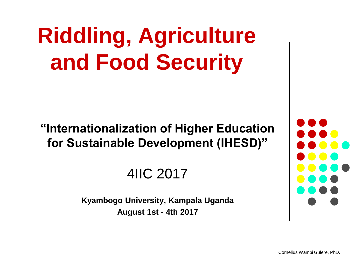# **Riddling, Agriculture and Food Security**

**"Internationalization of Higher Education for Sustainable Development (IHESD)"**

4IIC 2017

**Kyambogo University, Kampala Uganda August 1st - 4th 2017**

Cornelius Wambi Gulere, PhD.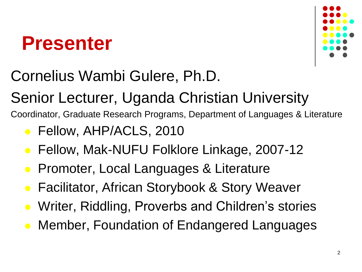#### **Presenter**



#### Cornelius Wambi Gulere, Ph.D.

Senior Lecturer, Uganda Christian University

Coordinator, Graduate Research Programs, Department of Languages & Literature

- **Fellow, AHP/ACLS, 2010**
- Fellow, Mak-NUFU Folklore Linkage, 2007-12
- Promoter, Local Languages & Literature
- Facilitator, African Storybook & Story Weaver
- Writer, Riddling, Proverbs and Children's stories
- Member, Foundation of Endangered Languages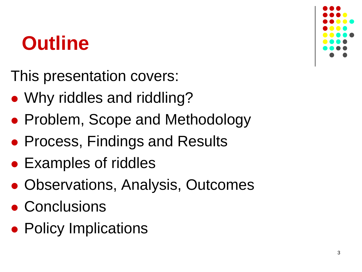#### **Outline**

This presentation covers:

- Why riddles and riddling?
- Problem, Scope and Methodology
- **Process, Findings and Results**
- Examples of riddles
- Observations, Analysis, Outcomes
- Conclusions
- Policy Implications

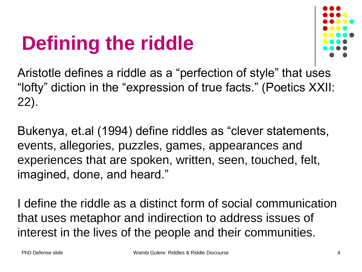## **Defining the riddle**



Aristotle defines a riddle as a "perfection of style" that uses "lofty" diction in the "expression of true facts." (Poetics XXII: 22).

Bukenya, et.al (1994) define riddles as "clever statements, events, allegories, puzzles, games, appearances and experiences that are spoken, written, seen, touched, felt, imagined, done, and heard."

I define the riddle as a distinct form of social communication that uses metaphor and indirection to address issues of interest in the lives of the people and their communities.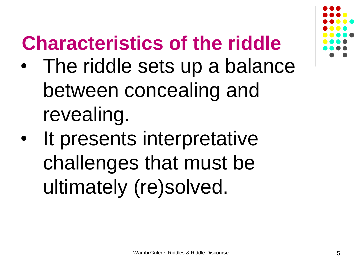## **Characteristics of the riddle**

- The riddle sets up a balance between concealing and revealing.
- It presents interpretative challenges that must be ultimately (re)solved.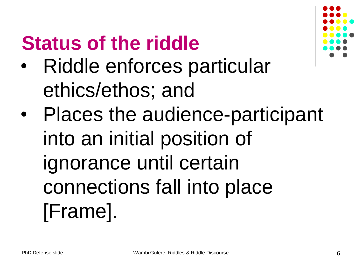#### **Status of the riddle**

- Riddle enforces particular ethics/ethos; and
- Places the audience-participant into an initial position of ignorance until certain connections fall into place [Frame].

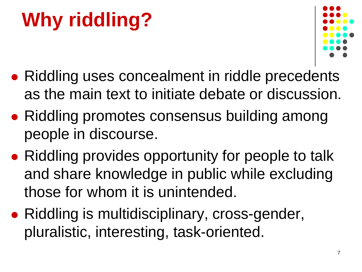# **Why riddling?**



- Riddling uses concealment in riddle precedents as the main text to initiate debate or discussion.
- Riddling promotes consensus building among people in discourse.
- Riddling provides opportunity for people to talk and share knowledge in public while excluding those for whom it is unintended.
- Riddling is multidisciplinary, cross-gender, pluralistic, interesting, task-oriented.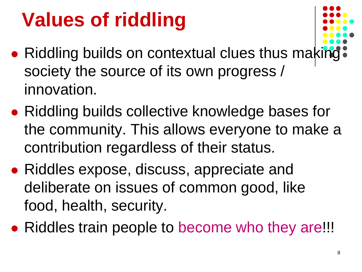## **Values of riddling**

- 
- Riddling builds on contextual clues thus making society the source of its own progress / innovation.
- Riddling builds collective knowledge bases for the community. This allows everyone to make a contribution regardless of their status.
- Riddles expose, discuss, appreciate and deliberate on issues of common good, like food, health, security.
- Riddles train people to become who they are!!!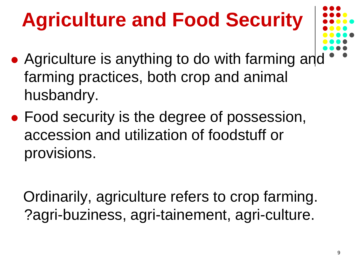# **Agriculture and Food Security**

- 
- Agriculture is anything to do with farming and farming practices, both crop and animal husbandry.
- Food security is the degree of possession, accession and utilization of foodstuff or provisions.

 Ordinarily, agriculture refers to crop farming. ?agri-buziness, agri-tainement, agri-culture.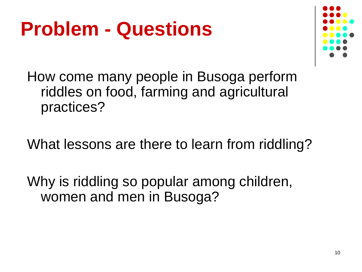#### **Problem - Questions**



How come many people in Busoga perform riddles on food, farming and agricultural practices?

What lessons are there to learn from riddling?

Why is riddling so popular among children, women and men in Busoga?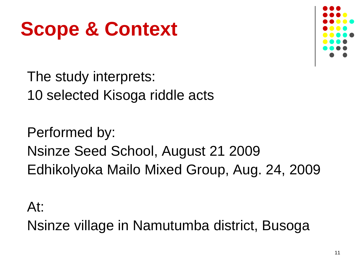## **Scope & Context**



The study interprets: 10 selected Kisoga riddle acts

Performed by: Nsinze Seed School, August 21 2009 Edhikolyoka Mailo Mixed Group, Aug. 24, 2009

At:

Nsinze village in Namutumba district, Busoga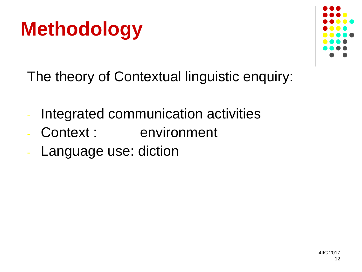



The theory of Contextual linguistic enquiry:

- Integrated communication activities
- Context : environment
- Language use: diction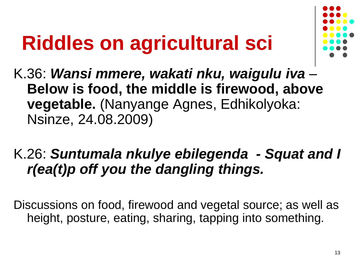# **Riddles on agricultural sci**



K.36: *Wansi mmere, wakati nku, waigulu iva* – **Below is food, the middle is firewood, above vegetable.** (Nanyange Agnes, Edhikolyoka: Nsinze, 24.08.2009)

#### K.26: *Suntumala nkulye ebilegenda - Squat and I r(ea(t)p off you the dangling things.*

Discussions on food, firewood and vegetal source; as well as height, posture, eating, sharing, tapping into something.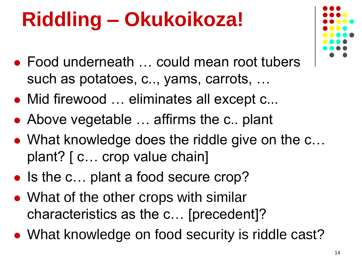# **Riddling – Okukoikoza!**

- Food underneath … could mean root tubers such as potatoes, c.., yams, carrots, …
- Mid firewood … eliminates all except c...
- Above vegetable ... affirms the c.. plant
- What knowledge does the riddle give on the c... plant? [ c… crop value chain]
- Is the c... plant a food secure crop?
- What of the other crops with similar characteristics as the c… [precedent]?
- What knowledge on food security is riddle cast?

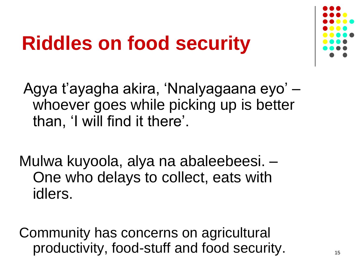## **Riddles on food security**



Agya t'ayagha akira, 'Nnalyagaana eyo' – whoever goes while picking up is better than, 'I will find it there'.

Mulwa kuyoola, alya na abaleebeesi. – One who delays to collect, eats with idlers.

Community has concerns on agricultural productivity, food-stuff and food security.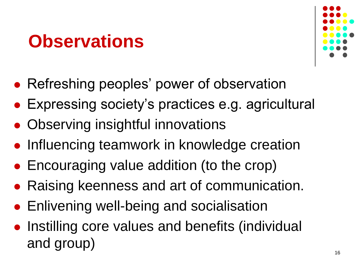#### **Observations**



- Refreshing peoples' power of observation
- Expressing society's practices e.g. agricultural
- Observing insightful innovations
- Influencing teamwork in knowledge creation
- Encouraging value addition (to the crop)
- Raising keenness and art of communication.
- Enlivening well-being and socialisation
- Instilling core values and benefits (individual and group)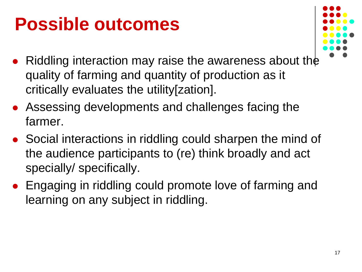#### **Possible outcomes**



- Riddling interaction may raise the awareness about the quality of farming and quantity of production as it critically evaluates the utility[zation].
- Assessing developments and challenges facing the farmer.
- Social interactions in riddling could sharpen the mind of the audience participants to (re) think broadly and act specially/ specifically.
- Engaging in riddling could promote love of farming and learning on any subject in riddling.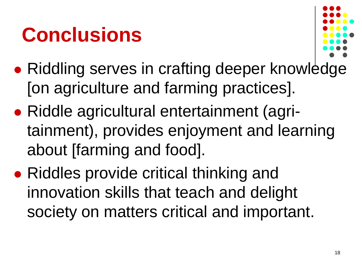## **Conclusions**



- Riddling serves in crafting deeper knowledge [on agriculture and farming practices].
- Riddle agricultural entertainment (agritainment), provides enjoyment and learning about [farming and food].
- Riddles provide critical thinking and innovation skills that teach and delight society on matters critical and important.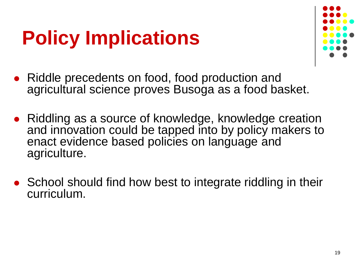## **Policy Implications**



- Riddle precedents on food, food production and agricultural science proves Busoga as a food basket.
- Riddling as a source of knowledge, knowledge creation and innovation could be tapped into by policy makers to enact evidence based policies on language and agriculture.
- School should find how best to integrate riddling in their curriculum.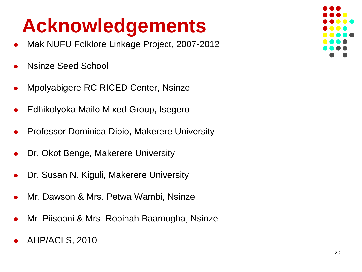## **Acknowledgements**

- Mak NUFU Folklore Linkage Project, 2007-2012
- Nsinze Seed School
- Mpolyabigere RC RICED Center, Nsinze
- Edhikolyoka Mailo Mixed Group, Isegero
- Professor Dominica Dipio, Makerere University
- Dr. Okot Benge, Makerere University
- Dr. Susan N. Kiguli, Makerere University
- Mr. Dawson & Mrs. Petwa Wambi, Nsinze
- Mr. Piisooni & Mrs. Robinah Baamugha, Nsinze
- AHP/ACLS, 2010